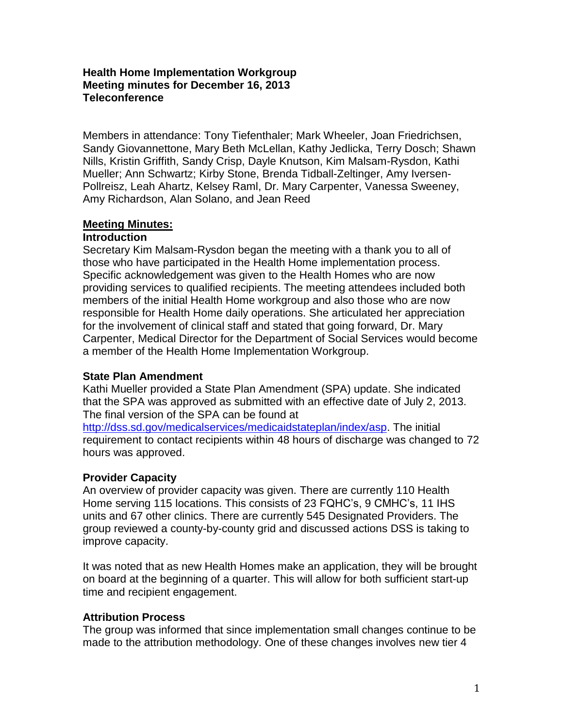#### **Health Home Implementation Workgroup Meeting minutes for December 16, 2013 Teleconference**

Members in attendance: Tony Tiefenthaler; Mark Wheeler, Joan Friedrichsen, Sandy Giovannettone, Mary Beth McLellan, Kathy Jedlicka, Terry Dosch; Shawn Nills, Kristin Griffith, Sandy Crisp, Dayle Knutson, Kim Malsam-Rysdon, Kathi Mueller; Ann Schwartz; Kirby Stone, Brenda Tidball-Zeltinger, Amy Iversen-Pollreisz, Leah Ahartz, Kelsey Raml, Dr. Mary Carpenter, Vanessa Sweeney, Amy Richardson, Alan Solano, and Jean Reed

# **Meeting Minutes:**

#### **Introduction**

Secretary Kim Malsam-Rysdon began the meeting with a thank you to all of those who have participated in the Health Home implementation process. Specific acknowledgement was given to the Health Homes who are now providing services to qualified recipients. The meeting attendees included both members of the initial Health Home workgroup and also those who are now responsible for Health Home daily operations. She articulated her appreciation for the involvement of clinical staff and stated that going forward, Dr. Mary Carpenter, Medical Director for the Department of Social Services would become a member of the Health Home Implementation Workgroup.

#### **State Plan Amendment**

Kathi Mueller provided a State Plan Amendment (SPA) update. She indicated that the SPA was approved as submitted with an effective date of July 2, 2013. The final version of the SPA can be found at

[http://dss.sd.gov/medicalservices/medicaidstateplan/index/asp.](http://dss.sd.gov/medicalservices/medicaidstateplan/index/asp) The initial requirement to contact recipients within 48 hours of discharge was changed to 72 hours was approved.

#### **Provider Capacity**

An overview of provider capacity was given. There are currently 110 Health Home serving 115 locations. This consists of 23 FQHC's, 9 CMHC's, 11 IHS units and 67 other clinics. There are currently 545 Designated Providers. The group reviewed a county-by-county grid and discussed actions DSS is taking to improve capacity.

It was noted that as new Health Homes make an application, they will be brought on board at the beginning of a quarter. This will allow for both sufficient start-up time and recipient engagement.

# **Attribution Process**

The group was informed that since implementation small changes continue to be made to the attribution methodology. One of these changes involves new tier 4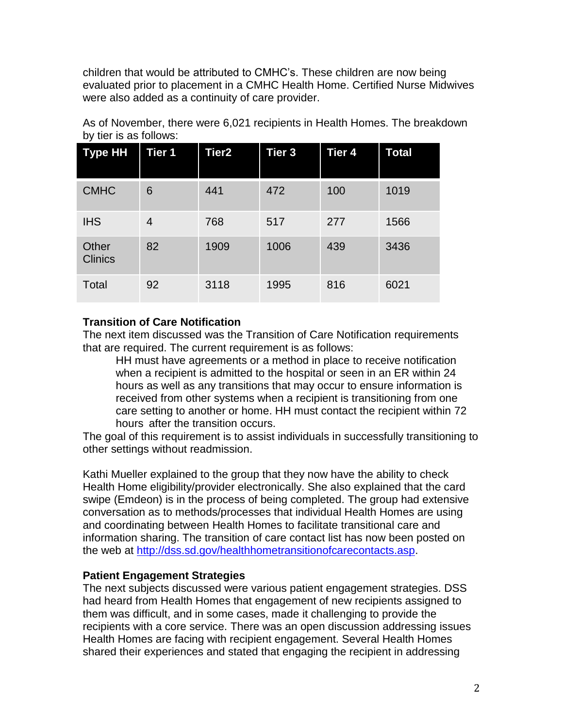children that would be attributed to CMHC's. These children are now being evaluated prior to placement in a CMHC Health Home. Certified Nurse Midwives were also added as a continuity of care provider.

| Type HH                 | <b>Tier 1</b>  | Tier2 | Tier <sub>3</sub> | Tier 4 | Total |
|-------------------------|----------------|-------|-------------------|--------|-------|
| <b>CMHC</b>             | 6              | 441   | 472               | 100    | 1019  |
| <b>IHS</b>              | $\overline{4}$ | 768   | 517               | 277    | 1566  |
| Other<br><b>Clinics</b> | 82             | 1909  | 1006              | 439    | 3436  |
| Total                   | 92             | 3118  | 1995              | 816    | 6021  |

As of November, there were 6,021 recipients in Health Homes. The breakdown by tier is as follows:

### **Transition of Care Notification**

The next item discussed was the Transition of Care Notification requirements that are required. The current requirement is as follows:

HH must have agreements or a method in place to receive notification when a recipient is admitted to the hospital or seen in an ER within 24 hours as well as any transitions that may occur to ensure information is received from other systems when a recipient is transitioning from one care setting to another or home. HH must contact the recipient within 72 hours after the transition occurs.

The goal of this requirement is to assist individuals in successfully transitioning to other settings without readmission.

Kathi Mueller explained to the group that they now have the ability to check Health Home eligibility/provider electronically. She also explained that the card swipe (Emdeon) is in the process of being completed. The group had extensive conversation as to methods/processes that individual Health Homes are using and coordinating between Health Homes to facilitate transitional care and information sharing. The transition of care contact list has now been posted on the web at [http://dss.sd.gov/healthhometransitionofcarecontacts.asp.](http://dss.sd.gov/healthhometransitionofcarecontacts.asp)

#### **Patient Engagement Strategies**

The next subjects discussed were various patient engagement strategies. DSS had heard from Health Homes that engagement of new recipients assigned to them was difficult, and in some cases, made it challenging to provide the recipients with a core service. There was an open discussion addressing issues Health Homes are facing with recipient engagement. Several Health Homes shared their experiences and stated that engaging the recipient in addressing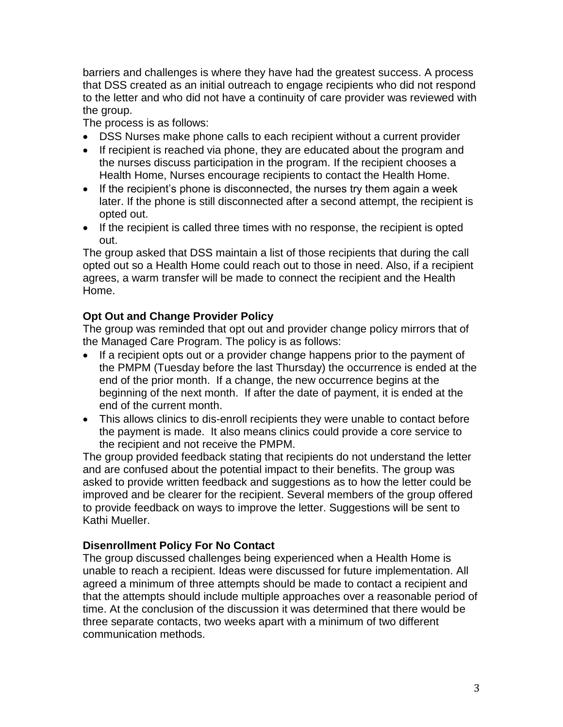barriers and challenges is where they have had the greatest success. A process that DSS created as an initial outreach to engage recipients who did not respond to the letter and who did not have a continuity of care provider was reviewed with the group.

The process is as follows:

- DSS Nurses make phone calls to each recipient without a current provider
- If recipient is reached via phone, they are educated about the program and the nurses discuss participation in the program. If the recipient chooses a Health Home, Nurses encourage recipients to contact the Health Home.
- If the recipient's phone is disconnected, the nurses try them again a week later. If the phone is still disconnected after a second attempt, the recipient is opted out.
- If the recipient is called three times with no response, the recipient is opted out.

The group asked that DSS maintain a list of those recipients that during the call opted out so a Health Home could reach out to those in need. Also, if a recipient agrees, a warm transfer will be made to connect the recipient and the Health Home.

# **Opt Out and Change Provider Policy**

The group was reminded that opt out and provider change policy mirrors that of the Managed Care Program. The policy is as follows:

- If a recipient opts out or a provider change happens prior to the payment of the PMPM (Tuesday before the last Thursday) the occurrence is ended at the end of the prior month. If a change, the new occurrence begins at the beginning of the next month. If after the date of payment, it is ended at the end of the current month.
- This allows clinics to dis-enroll recipients they were unable to contact before the payment is made. It also means clinics could provide a core service to the recipient and not receive the PMPM.

The group provided feedback stating that recipients do not understand the letter and are confused about the potential impact to their benefits. The group was asked to provide written feedback and suggestions as to how the letter could be improved and be clearer for the recipient. Several members of the group offered to provide feedback on ways to improve the letter. Suggestions will be sent to Kathi Mueller.

# **Disenrollment Policy For No Contact**

The group discussed challenges being experienced when a Health Home is unable to reach a recipient. Ideas were discussed for future implementation. All agreed a minimum of three attempts should be made to contact a recipient and that the attempts should include multiple approaches over a reasonable period of time. At the conclusion of the discussion it was determined that there would be three separate contacts, two weeks apart with a minimum of two different communication methods.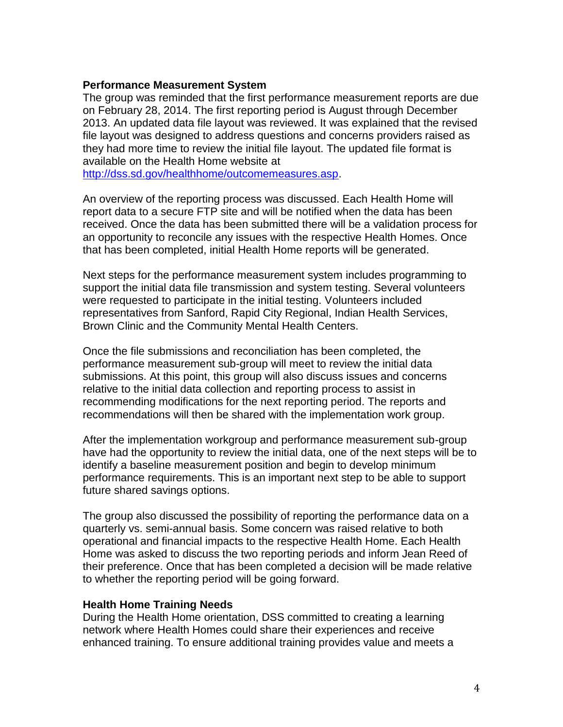#### **Performance Measurement System**

The group was reminded that the first performance measurement reports are due on February 28, 2014. The first reporting period is August through December 2013. An updated data file layout was reviewed. It was explained that the revised file layout was designed to address questions and concerns providers raised as they had more time to review the initial file layout. The updated file format is available on the Health Home website at

[http://dss.sd.gov/healthhome/outcomemeasures.asp.](http://dss.sd.gov/healthhome/outcomemeasures.asp)

An overview of the reporting process was discussed. Each Health Home will report data to a secure FTP site and will be notified when the data has been received. Once the data has been submitted there will be a validation process for an opportunity to reconcile any issues with the respective Health Homes. Once that has been completed, initial Health Home reports will be generated.

Next steps for the performance measurement system includes programming to support the initial data file transmission and system testing. Several volunteers were requested to participate in the initial testing. Volunteers included representatives from Sanford, Rapid City Regional, Indian Health Services, Brown Clinic and the Community Mental Health Centers.

Once the file submissions and reconciliation has been completed, the performance measurement sub-group will meet to review the initial data submissions. At this point, this group will also discuss issues and concerns relative to the initial data collection and reporting process to assist in recommending modifications for the next reporting period. The reports and recommendations will then be shared with the implementation work group.

After the implementation workgroup and performance measurement sub-group have had the opportunity to review the initial data, one of the next steps will be to identify a baseline measurement position and begin to develop minimum performance requirements. This is an important next step to be able to support future shared savings options.

The group also discussed the possibility of reporting the performance data on a quarterly vs. semi-annual basis. Some concern was raised relative to both operational and financial impacts to the respective Health Home. Each Health Home was asked to discuss the two reporting periods and inform Jean Reed of their preference. Once that has been completed a decision will be made relative to whether the reporting period will be going forward.

#### **Health Home Training Needs**

During the Health Home orientation, DSS committed to creating a learning network where Health Homes could share their experiences and receive enhanced training. To ensure additional training provides value and meets a